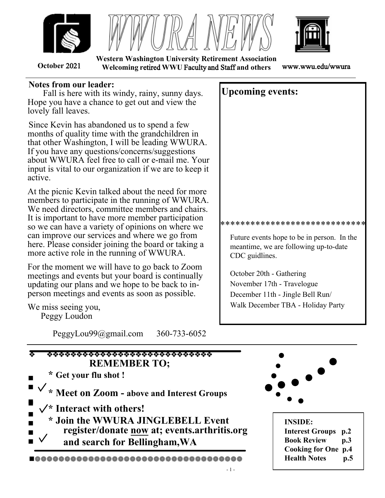





**October** 2021 **Welcoming r**etired **WWU** Faculty and Staff **and others** www.wwu.edu/wwura **Western Washington University Retirement Association**

#### **Notes from our leader:**

 Fall is here with its windy, rainy, sunny days. Hope you have a chance to get out and view the lovely fall leaves.

Since Kevin has abandoned us to spend a few months of quality time with the grandchildren in that other Washington, I will be leading WWURA. If you have any questions/concerns/suggestions about WWURA feel free to call or e-mail me. Your input is vital to our organization if we are to keep it active.

At the picnic Kevin talked about the need for more members to participate in the running of WWURA. We need directors, committee members and chairs. It is important to have more member participation so we can have a variety of opinions on where we can improve our services and where we go from here. Please consider joining the board or taking a more active role in the running of WWURA.

For the moment we will have to go back to Zoom meetings and events but your board is continually updating our plans and we hope to be back to inperson meetings and events as soon as possible.

We miss seeing you,

Peggy Loudon

PeggyLou99@gmail.com 360-733-6052

# **Upcoming events:**

**No meeting planned for October** 

\*\*\*\*\*\*\*\*\*\*\*\*\*\*\*\*\*\*\*\*\*\*\*\*\*\*\*\*\*

Future events hope to be in person. In the meantime, we are following up-todate CDC guidelines.

November 15th or 17th - Travelogue -

lots of possibilities are being discussed.

November 19th, 7:30 to 9:30am -Virtual

YWCA Annual Leadership Breakfast More info at: YWCABellingham.org December 11th - Jingle Bell Run/Walk December TBA - Holiday Party

\*\*\*Don't miss the

 Whatcom Museum Glass Exhibit it ends Oct 10th !!!

## INNOCULATIONS:

Please consult your physician/pharmacy about boosters for COVID and about your annual flu shot.



# **\* Meet on Zoom - above and Interest Groups**

**\* Interact with others!**

  $\blacksquare$   **register/donate now at; events.arthritis.org \* Join the WWURA JINGLEBELL Event**

 $\blacksquare$  **and search for Bellingham,WA** 

❈❈❈❈❈❈❈❈❈❈❈❈❈❈❈❈❈❈❈❈❈❈❈❈❈❈❈❈❈❈❈❈❈❈❈



**INSIDE: Interest Groups p.2 Book Review p.3 Cooking for One p.4 Health Notes p.5**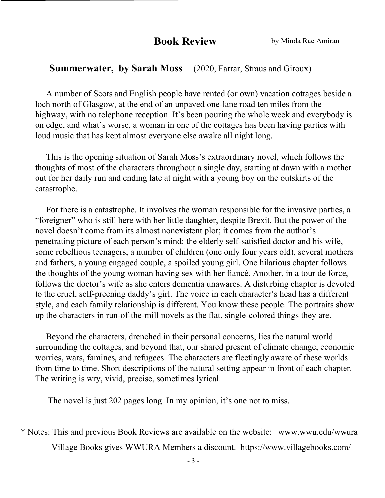## **Book Review** by Minda Rae Amiran

#### **Summerwater, by Sarah Moss** (2020, Farrar, Straus and Giroux)

 A number of Scots and English people have rented (or own) vacation cottages beside a loch north of Glasgow, at the end of an unpaved one-lane road ten miles from the highway, with no telephone reception. It's been pouring the whole week and everybody is on edge, and what's worse, a woman in one of the cottages has been having parties with loud music that has kept almost everyone else awake all night long.

 This is the opening situation of Sarah Moss's extraordinary novel, which follows the thoughts of most of the characters throughout a single day, starting at dawn with a mother out for her daily run and ending late at night with a young boy on the outskirts of the catastrophe.

 For there is a catastrophe. It involves the woman responsible for the invasive parties, a "foreigner" who is still here with her little daughter, despite Brexit. But the power of the novel doesn't come from its almost nonexistent plot; it comes from the author's penetrating picture of each person's mind: the elderly self-satisfied doctor and his wife, some rebellious teenagers, a number of children (one only four years old), several mothers and fathers, a young engaged couple, a spoiled young girl. One hilarious chapter follows the thoughts of the young woman having sex with her fiancé. Another, in a tour de force, follows the doctor's wife as she enters dementia unawares. A disturbing chapter is devoted to the cruel, self-preening daddy's girl. The voice in each character's head has a different style, and each family relationship is different. You know these people. The portraits show up the characters in run-of-the-mill novels as the flat, single-colored things they are.

 Beyond the characters, drenched in their personal concerns, lies the natural world surrounding the cottages, and beyond that, our shared present of climate change, economic worries, wars, famines, and refugees. The characters are fleetingly aware of these worlds from time to time. Short descriptions of the natural setting appear in front of each chapter. The writing is wry, vivid, precise, sometimes lyrical.

The novel is just 202 pages long. In my opinion, it's one not to miss.

\* Notes: This and previous Book Reviews are available on the website: www.wwu.edu/wwura

Village Books gives WWURA Members a discount. https://www.villagebooks.com/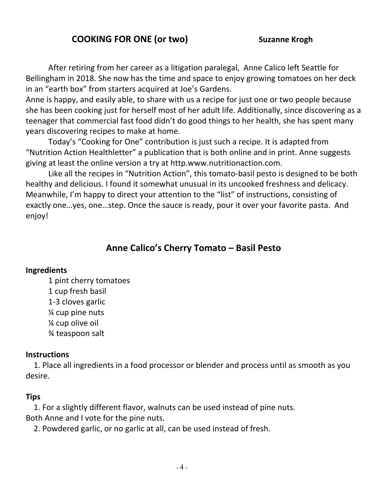## **COOKING FOR ONE (or two) Suzanne Krogh**

After retiring from her career as a litigation paralegal, Anne Calico left Seattle for Bellingham in 2018. She now has the time and space to enjoy growing tomatoes on her deck in an "earth box" from starters acquired at Joe's Gardens.

Anne is happy, and easily able, to share with us a recipe for just one or two people because she has been cooking just for herself most of her adult life. Additionally, since discovering as a teenager that commercial fast food didn't do good things to her health, she has spent many years discovering recipes to make at home.

Today's "Cooking for One" contribution is just such a recipe. It is adapted from "Nutrition Action Healthletter" a publication that is both online and in print. Anne suggests giving at least the online version a try at http.www.nutritionaction.com.

Like all the recipes in "Nutrition Action", this tomato-basil pesto is designed to be both healthy and delicious. I found it somewhat unusual in its uncooked freshness and delicacy. Meanwhile, I'm happy to direct your attention to the "list" of instructions, consisting of exactly one…yes, one…step. Once the sauce is ready, pour it over your favorite pasta. And enjoy!

## **Anne Calico's Cherry Tomato – Basil Pesto**

#### **Ingredients**

1 pint cherry tomatoes 1 cup fresh basil 1-3 cloves garlic ¼ cup pine nuts ¼ cup olive oil ¾ teaspoon salt

#### **Instructions**

1. Place all ingredients in a food processor or blender and process until as smooth as you desire.

#### **Tips**

1. For a slightly different flavor, walnuts can be used instead of pine nuts. Both Anne and I vote for the pine nuts.

2. Powdered garlic, or no garlic at all, can be used instead of fresh.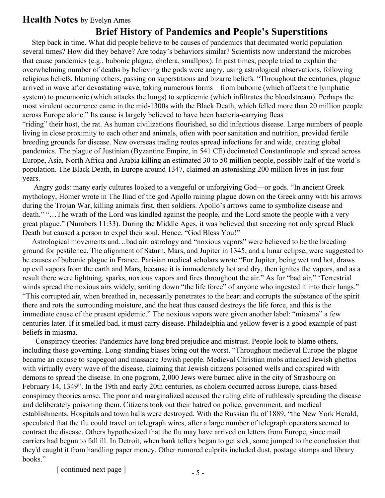## **Health Notes** by Evelyn Ames

### **Brief History of Pandemics and People's Superstitions**

 Step back in time. What did people believe to be causes of pandemics that decimated world population several times? How did they behave? Are today's behaviors similar? Scientists now understand the microbes that cause pandemics (e.g., bubonic plague, cholera, smallpox). In past times, people tried to explain the overwhelming number of deaths by believing the gods were angry, using astrological observations, following religious beliefs, blaming others, passing on superstitions and bizarre beliefs. "Throughout the centuries, plague arrived in wave after devastating wave, taking numerous forms—from bubonic (which affects the lymphatic system) to pneumonic (which attacks the lungs) to septicemic (which infiltrates the bloodstream). Perhaps the most virulent occurrence came in the mid-1300s with the Black Death, which felled more than 20 million people across Europe alone." Its cause is largely believed to have been bacteria-carrying fleas "riding" their host, the rat. As human civilizations flourished, so did infectious disease. Large numbers of people living in close proximity to each other and animals, often with poor sanitation and nutrition, provided fertile breeding grounds for disease. New overseas trading routes spread infections far and wide, creating global pandemics. The plague of Justinian (Byzantine Empire, in 541 CE) decimated Constantinople and spread across Europe, Asia, North Africa and Arabia killing an estimated 30 to 50 million people, possibly half of the world's population. The Black Death, in Europe around 1347, claimed an astonishing 200 million lives in just four years.

 Angry gods: many early cultures looked to a vengeful or unforgiving God—or gods. "In ancient Greek mythology, Homer wrote in The Iliad of the god Apollo raining plague down on the Greek army with his arrows during the Trojan War, killing animals first, then soldiers. Apollo's arrows came to symbolize disease and death." "…The wrath of the Lord was kindled against the people, and the Lord smote the people with a very great plague." (Numbers 11:33). During the Middle Ages, it was believed that sneezing not only spread Black Death but caused a person to expel their soul. Hence, "God Bless You!"

 Astrological movements and…bad air: astrology and "noxious vapors" were believed to be the breeding ground for pestilence. The alignment of Saturn, Mars, and Jupiter in 1345, and a lunar eclipse, were suggested to be causes of bubonic plague in France. Parisian medical scholars wrote "For Jupiter, being wet and hot, draws up evil vapors from the earth and Mars, because it is immoderately hot and dry, then ignites the vapors, and as a result there were lightning, sparks, noxious vapors and fires throughout the air." As for "bad air," 'Terrestrial winds spread the noxious airs widely, smiting down "the life force" of anyone who ingested it into their lungs." "This corrupted air, when breathed in, necessarily penetrates to the heart and corrupts the substance of the spirit there and rots the surrounding moisture, and the heat thus caused destroys the life force, and this is the immediate cause of the present epidemic." The noxious vapors were given another label: "miasma" a few centuries later. If it smelled bad, it must carry disease. Philadelphia and yellow fever is a good example of past beliefs in miasma.

 Conspiracy theories: Pandemics have long bred prejudice and mistrust. People look to blame others, including those governing. Long-standing biases bring out the worst. "Throughout medieval Europe the plague became an excuse to scapegoat and massacre Jewish people. Medieval Christian mobs attacked Jewish ghettos with virtually every wave of the disease, claiming that Jewish citizens poisoned wells and conspired with demons to spread the disease. In one pogrom, 2,000 Jews were burned alive in the city of Strasbourg on February 14, 1349". In the 19th and early 20th centuries, as cholera occurred across Europe, class-based conspiracy theories arose. The poor and marginalized accused the ruling elite of ruthlessly spreading the disease and deliberately poisoning them. Citizens took out their hatred on police, government, and medical establishments. Hospitals and town halls were destroyed. With the Russian flu of 1889, "the New York Herald, speculated that the flu could travel on telegraph wires, after a large number of telegraph operators seemed to contract the disease. Others hypothesized that the flu may have arrived on letters from Europe, since mail carriers had begun to fall ill. In Detroit, when bank tellers began to get sick, some jumped to the conclusion that they'd caught it from handling paper money. Other rumored culprits included dust, postage stamps and library books."

[ continued next page ]